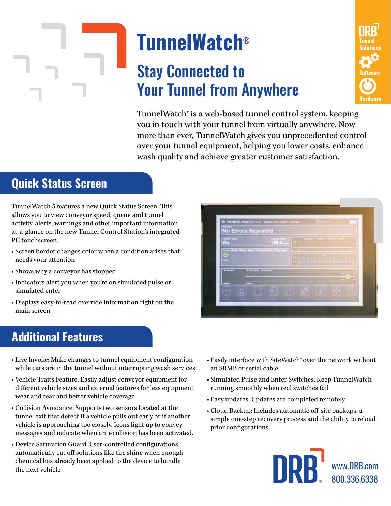# **TunnelWatch®**

## Stay Connected to Your Tunnel from Anywhere



TunnelWatch® is a web-based tunnel control system, keeping you in touch with your tunnel from virtually anywhere. Now more than ever, TunnelWatch gives you unprecedented control over your tunnel equipment, helping you lower costs, enhance wash quality and achieve greater customer satisfaction.

### **Quick Status Screen**

TunnelWatch 5 features a new Quick Status Screen. This allows you to view conveyor speed, queue and tunnel activity, alerts, warnings and other important information at-a-glance on the new Tunnel Control Station's integrated PC touchscreen.

- Screen border changes color when a condition arises that needs your attention
- Shows why a conveyor has stopped
- Indicators alert you when you're on simulated pulse or simulated enter
- Displays easy-to-read override information right on the main screen

# **No Errors Reported**

#### **Additional Features**

- Live Invoke: Make changes to tunnel equipment configuration while cars are in the tunnel without interrupting wash services
- Vehicle Traits Feature: Easily adjust conveyor equipment for different vehicle sizes and external features for less equipment wear and tear and better vehicle coverage
- Collision Avoidance: Supports two sensors located at the tunnel exit that detect if a vehicle pulls out early or if another vehicle is approaching too closely. Icons light up to convey messages and indicate when anti-collision has been activated.
- Device Saturation Guard: User-controlled configurations automatically cut off solutions like tire shine when enough chemical has already been applied to the device to handle the next vehicle
- Easily interface with SiteWatch® over the network without an SRMB or serial cable
- Simulated Pulse and Enter Switches: Keep TunnelWatch running smoothly when real switches fail
- Easy updates: Updates are completed remotely
- Cloud Backup: Includes automatic off-site backups, a simple one-step recovery process and the ability to reload prior configurations



www.DRB.com 800.336.6338